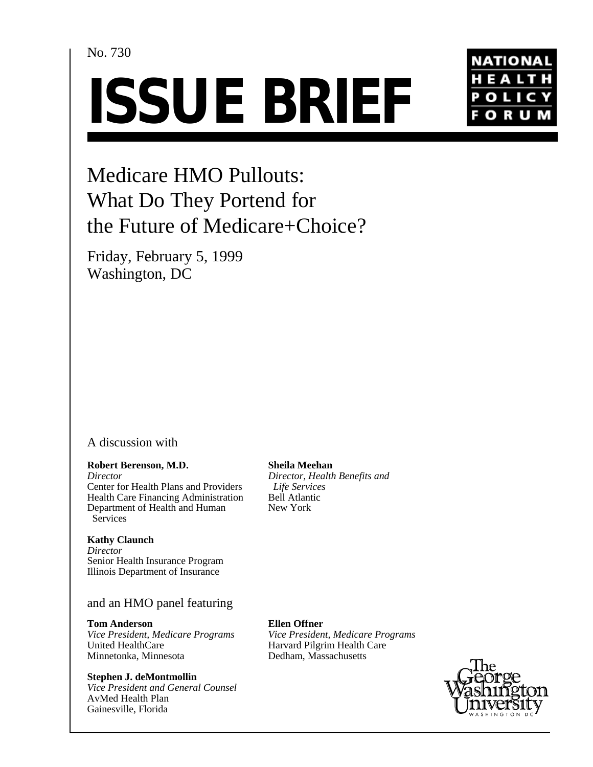### No. 730

# **ISSUE BRIEF**



# Medicare HMO Pullouts: What Do They Portend for the Future of Medicare+Choice?

Friday, February 5, 1999 Washington, DC

#### A discussion with

#### **Robert Berenson, M.D.**

*Director* Center for Health Plans and Providers Health Care Financing Administration Department of Health and Human Services

#### **Kathy Claunch**

*Director* Senior Health Insurance Program Illinois Department of Insurance

#### and an HMO panel featuring

**Tom Anderson** *Vice President, Medicare Programs* United HealthCare Minnetonka, Minnesota

#### **Stephen J. deMontmollin**

*Vice President and General Counsel* AvMed Health Plan Gainesville, Florida

#### **Sheila Meehan**

*Director, Health Benefits and Life Services* Bell Atlantic New York

# **Ellen Offner**

*Vice President, Medicare Programs* Harvard Pilgrim Health Care Dedham, Massachusetts

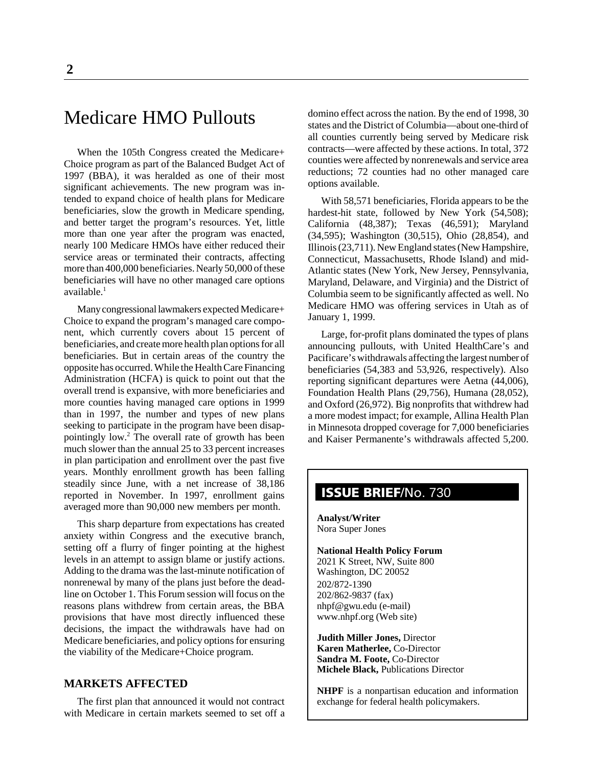# Medicare HMO Pullouts

When the 105th Congress created the Medicare+ Choice program as part of the Balanced Budget Act of 1997 (BBA), it was heralded as one of their most significant achievements. The new program was intended to expand choice of health plans for Medicare beneficiaries, slow the growth in Medicare spending, and better target the program's resources. Yet, little more than one year after the program was enacted, nearly 100 Medicare HMOs have either reduced their service areas or terminated their contracts, affecting more than 400,000 beneficiaries. Nearly 50,000 of these beneficiaries will have no other managed care options available. $<sup>1</sup>$ </sup>

Many congressional lawmakers expected Medicare+ Choice to expand the program's managed care component, which currently covers about 15 percent of beneficiaries, and create more health plan options for all beneficiaries. But in certain areas of the country the opposite has occurred. While the Health Care Financing Administration (HCFA) is quick to point out that the overall trend is expansive, with more beneficiaries and more counties having managed care options in 1999 than in 1997, the number and types of new plans seeking to participate in the program have been disappointingly low.2 The overall rate of growth has been much slower than the annual 25 to 33 percent increases in plan participation and enrollment over the past five years. Monthly enrollment growth has been falling steadily since June, with a net increase of 38,186 reported in November. In 1997, enrollment gains averaged more than 90,000 new members per month.

This sharp departure from expectations has created anxiety within Congress and the executive branch, setting off a flurry of finger pointing at the highest levels in an attempt to assign blame or justify actions. Adding to the drama was the last-minute notification of nonrenewal by many of the plans just before the deadline on October 1. This Forum session will focus on the reasons plans withdrew from certain areas, the BBA provisions that have most directly influenced these decisions, the impact the withdrawals have had on Medicare beneficiaries, and policy options for ensuring the viability of the Medicare+Choice program.

#### **MARKETS AFFECTED**

The first plan that announced it would not contract with Medicare in certain markets seemed to set off a domino effect across the nation. By the end of 1998, 30 states and the District of Columbia—about one-third of all counties currently being served by Medicare risk contracts—were affected by these actions. In total, 372 counties were affected by nonrenewals and service area reductions; 72 counties had no other managed care options available.

With 58,571 beneficiaries, Florida appears to be the hardest-hit state, followed by New York (54,508); California (48,387); Texas (46,591); Maryland (34,595); Washington (30,515), Ohio (28,854), and Illinois (23,711). New England states (New Hampshire, Connecticut, Massachusetts, Rhode Island) and mid-Atlantic states (New York, New Jersey, Pennsylvania, Maryland, Delaware, and Virginia) and the District of Columbia seem to be significantly affected as well. No Medicare HMO was offering services in Utah as of January 1, 1999.

Large, for-profit plans dominated the types of plans announcing pullouts, with United HealthCare's and Pacificare's withdrawals affecting the largest number of beneficiaries (54,383 and 53,926, respectively). Also reporting significant departures were Aetna (44,006), Foundation Health Plans (29,756), Humana (28,052), and Oxford (26,972). Big nonprofits that withdrew had a more modest impact; for example, Allina Health Plan in Minnesota dropped coverage for 7,000 beneficiaries and Kaiser Permanente's withdrawals affected 5,200.

## **ISSUE BRIEF**/No. 730

**Analyst/Writer** Nora Super Jones

#### **National Health Policy Forum**

2021 K Street, NW, Suite 800 Washington, DC 20052 202/872-1390 202/862-9837 (fax) nhpf@gwu.edu (e-mail) www.nhpf.org (Web site)

**Judith Miller Jones,** Director **Karen Matherlee,** Co-Director **Sandra M. Foote,** Co-Director **Michele Black,** Publications Director

**NHPF** is a nonpartisan education and information exchange for federal health policymakers.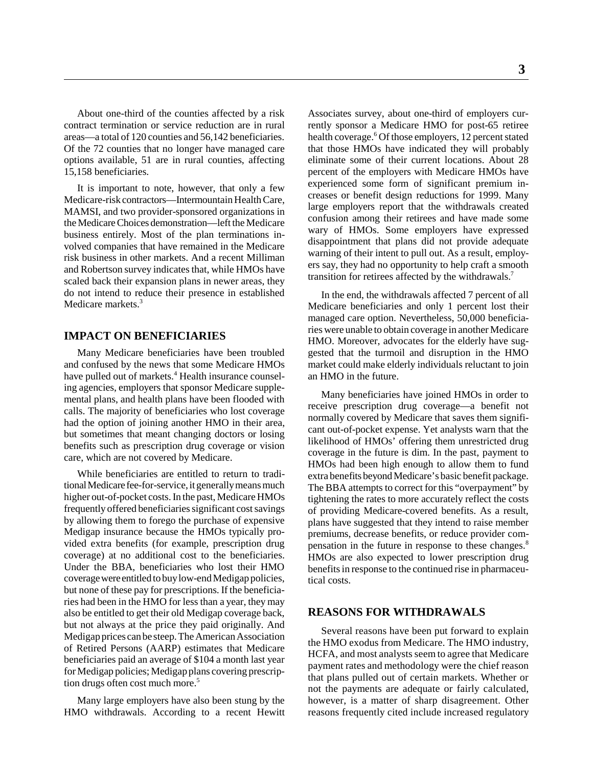About one-third of the counties affected by a risk contract termination or service reduction are in rural areas—a total of 120 counties and 56,142 beneficiaries. Of the 72 counties that no longer have managed care options available, 51 are in rural counties, affecting 15,158 beneficiaries.

It is important to note, however, that only a few Medicare-risk contractors—Intermountain Health Care, MAMSI, and two provider-sponsored organizations in the Medicare Choices demonstration—left the Medicare business entirely. Most of the plan terminations involved companies that have remained in the Medicare risk business in other markets. And a recent Milliman and Robertson survey indicates that, while HMOs have scaled back their expansion plans in newer areas, they do not intend to reduce their presence in established Medicare markets.<sup>3</sup>

#### **IMPACT ON BENEFICIARIES**

Many Medicare beneficiaries have been troubled and confused by the news that some Medicare HMOs have pulled out of markets.<sup>4</sup> Health insurance counseling agencies, employers that sponsor Medicare supplemental plans, and health plans have been flooded with calls. The majority of beneficiaries who lost coverage had the option of joining another HMO in their area, but sometimes that meant changing doctors or losing benefits such as prescription drug coverage or vision care, which are not covered by Medicare.

While beneficiaries are entitled to return to traditional Medicare fee-for-service, it generally means much higher out-of-pocket costs. In the past, Medicare HMOs frequently offered beneficiaries significant cost savings by allowing them to forego the purchase of expensive Medigap insurance because the HMOs typically provided extra benefits (for example, prescription drug coverage) at no additional cost to the beneficiaries. Under the BBA, beneficiaries who lost their HMO coverage were entitled to buy low-end Medigap policies, but none of these pay for prescriptions. If the beneficiaries had been in the HMO for less than a year, they may also be entitled to get their old Medigap coverage back, but not always at the price they paid originally. And Medigap prices can be steep. The American Association of Retired Persons (AARP) estimates that Medicare beneficiaries paid an average of \$104 a month last year for Medigap policies; Medigap plans covering prescription drugs often cost much more.<sup>5</sup>

Many large employers have also been stung by the HMO withdrawals. According to a recent Hewitt

Associates survey, about one-third of employers currently sponsor a Medicare HMO for post-65 retiree health coverage.<sup>6</sup> Of those employers, 12 percent stated that those HMOs have indicated they will probably eliminate some of their current locations. About 28 percent of the employers with Medicare HMOs have experienced some form of significant premium increases or benefit design reductions for 1999. Many large employers report that the withdrawals created confusion among their retirees and have made some wary of HMOs. Some employers have expressed disappointment that plans did not provide adequate warning of their intent to pull out. As a result, employers say, they had no opportunity to help craft a smooth transition for retirees affected by the withdrawals.<sup>7</sup>

In the end, the withdrawals affected 7 percent of all Medicare beneficiaries and only 1 percent lost their managed care option. Nevertheless, 50,000 beneficiaries were unable to obtain coverage in another Medicare HMO. Moreover, advocates for the elderly have suggested that the turmoil and disruption in the HMO market could make elderly individuals reluctant to join an HMO in the future.

Many beneficiaries have joined HMOs in order to receive prescription drug coverage—a benefit not normally covered by Medicare that saves them significant out-of-pocket expense. Yet analysts warn that the likelihood of HMOs' offering them unrestricted drug coverage in the future is dim. In the past, payment to HMOs had been high enough to allow them to fund extra benefits beyond Medicare's basic benefit package. The BBA attempts to correct for this "overpayment" by tightening the rates to more accurately reflect the costs of providing Medicare-covered benefits. As a result, plans have suggested that they intend to raise member premiums, decrease benefits, or reduce provider compensation in the future in response to these changes.<sup>8</sup> HMOs are also expected to lower prescription drug benefits in response to the continued rise in pharmaceutical costs.

#### **REASONS FOR WITHDRAWALS**

Several reasons have been put forward to explain the HMO exodus from Medicare. The HMO industry, HCFA, and most analysts seem to agree that Medicare payment rates and methodology were the chief reason that plans pulled out of certain markets. Whether or not the payments are adequate or fairly calculated, however, is a matter of sharp disagreement. Other reasons frequently cited include increased regulatory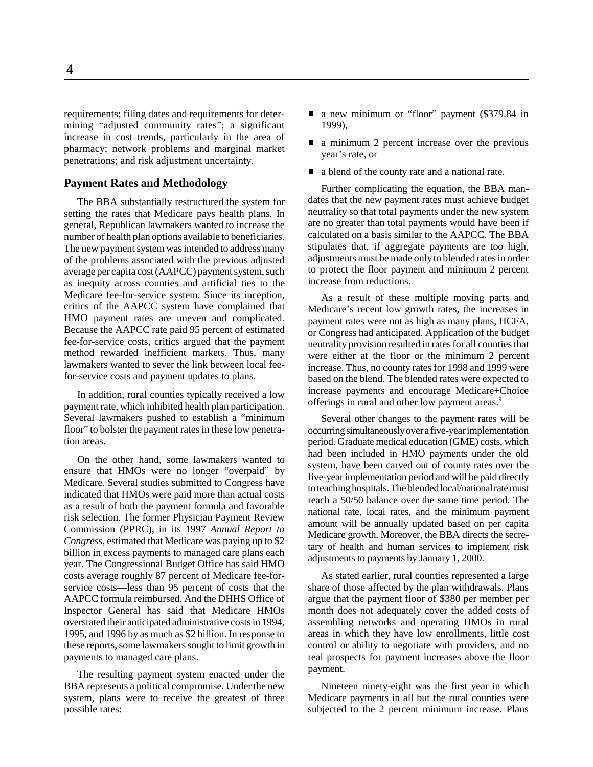requirements; filing dates and requirements for determining "adjusted community rates"; a significant increase in cost trends, particularly in the area of pharmacy; network problems and marginal market penetrations; and risk adjustment uncertainty.

#### **Payment Rates and Methodology**

The BBA substantially restructured the system for setting the rates that Medicare pays health plans. In general, Republican lawmakers wanted to increase the number of health plan options available to beneficiaries. The new payment system was intended to address many of the problems associated with the previous adjusted average per capita cost (AAPCC) payment system, such as inequity across counties and artificial ties to the Medicare fee-for-service system. Since its inception, critics of the AAPCC system have complained that HMO payment rates are uneven and complicated. Because the AAPCC rate paid 95 percent of estimated fee-for-service costs, critics argued that the payment method rewarded inefficient markets. Thus, many lawmakers wanted to sever the link between local feefor-service costs and payment updates to plans.

In addition, rural counties typically received a low payment rate, which inhibited health plan participation. Several lawmakers pushed to establish a "minimum floor" to bolster the payment rates in these low penetration areas.

On the other hand, some lawmakers wanted to ensure that HMOs were no longer "overpaid" by Medicare. Several studies submitted to Congress have indicated that HMOs were paid more than actual costs as a result of both the payment formula and favorable risk selection. The former Physician Payment Review Commission (PPRC), in its 1997 *Annual Report to Congress*, estimated that Medicare was paying up to \$2 billion in excess payments to managed care plans each year. The Congressional Budget Office has said HMO costs average roughly 87 percent of Medicare fee-forservice costs—less than 95 percent of costs that the AAPCC formula reimbursed. And the DHHS Office of Inspector General has said that Medicare HMOs overstated their anticipated administrative costs in 1994, 1995, and 1996 by as much as \$2 billion. In response to these reports, some lawmakers sought to limit growth in payments to managed care plans.

The resulting payment system enacted under the BBA represents a political compromise. Under the new system, plans were to receive the greatest of three possible rates:

- a new minimum or "floor" payment (\$379.84 in 1999),
- a minimum 2 percent increase over the previous year's rate, or
- a blend of the county rate and a national rate.

Further complicating the equation, the BBA mandates that the new payment rates must achieve budget neutrality so that total payments under the new system are no greater than total payments would have been if calculated on a basis similar to the AAPCC. The BBA stipulates that, if aggregate payments are too high, adjustments must be made only to blended rates in order to protect the floor payment and minimum 2 percent increase from reductions.

As a result of these multiple moving parts and Medicare's recent low growth rates, the increases in payment rates were not as high as many plans, HCFA, or Congress had anticipated. Application of the budget neutrality provision resulted in rates for all counties that were either at the floor or the minimum 2 percent increase. Thus, no county rates for 1998 and 1999 were based on the blend. The blended rates were expected to increase payments and encourage Medicare+Choice offerings in rural and other low payment areas.<sup>9</sup>

Several other changes to the payment rates will be occurring simultaneously over a five-year implementation period. Graduate medical education (GME) costs, which had been included in HMO payments under the old system, have been carved out of county rates over the five-year implementation period and will be paid directly to teaching hospitals. The blended local/national rate must reach a 50/50 balance over the same time period. The national rate, local rates, and the minimum payment amount will be annually updated based on per capita Medicare growth. Moreover, the BBA directs the secretary of health and human services to implement risk adjustments to payments by January 1, 2000.

As stated earlier, rural counties represented a large share of those affected by the plan withdrawals. Plans argue that the payment floor of \$380 per member per month does not adequately cover the added costs of assembling networks and operating HMOs in rural areas in which they have low enrollments, little cost control or ability to negotiate with providers, and no real prospects for payment increases above the floor payment.

Nineteen ninety-eight was the first year in which Medicare payments in all but the rural counties were subjected to the 2 percent minimum increase. Plans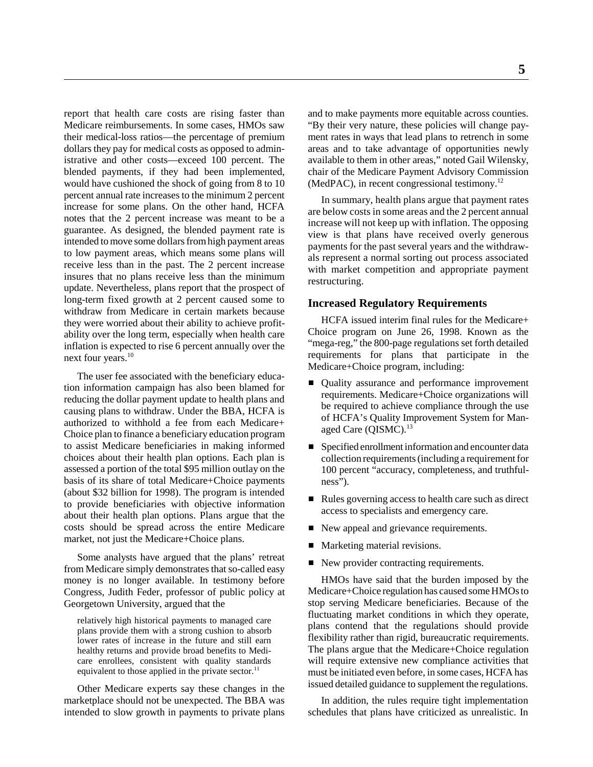report that health care costs are rising faster than Medicare reimbursements. In some cases, HMOs saw their medical-loss ratios—the percentage of premium dollars they pay for medical costs as opposed to administrative and other costs—exceed 100 percent. The blended payments, if they had been implemented, would have cushioned the shock of going from 8 to 10 percent annual rate increases to the minimum 2 percent increase for some plans. On the other hand, HCFA notes that the 2 percent increase was meant to be a guarantee. As designed, the blended payment rate is intended to move some dollars from high payment areas to low payment areas, which means some plans will receive less than in the past. The 2 percent increase insures that no plans receive less than the minimum update. Nevertheless, plans report that the prospect of long-term fixed growth at 2 percent caused some to withdraw from Medicare in certain markets because they were worried about their ability to achieve profitability over the long term, especially when health care inflation is expected to rise 6 percent annually over the next four years.<sup>10</sup>

The user fee associated with the beneficiary education information campaign has also been blamed for reducing the dollar payment update to health plans and causing plans to withdraw. Under the BBA, HCFA is authorized to withhold a fee from each Medicare+ Choice plan to finance a beneficiary education program to assist Medicare beneficiaries in making informed choices about their health plan options. Each plan is assessed a portion of the total \$95 million outlay on the basis of its share of total Medicare+Choice payments (about \$32 billion for 1998). The program is intended to provide beneficiaries with objective information about their health plan options. Plans argue that the costs should be spread across the entire Medicare market, not just the Medicare+Choice plans.

Some analysts have argued that the plans' retreat from Medicare simply demonstrates that so-called easy money is no longer available. In testimony before Congress, Judith Feder, professor of public policy at Georgetown University, argued that the

relatively high historical payments to managed care plans provide them with a strong cushion to absorb lower rates of increase in the future and still earn healthy returns and provide broad benefits to Medicare enrollees, consistent with quality standards equivalent to those applied in the private sector.<sup>11</sup>

Other Medicare experts say these changes in the marketplace should not be unexpected. The BBA was intended to slow growth in payments to private plans and to make payments more equitable across counties. "By their very nature, these policies will change payment rates in ways that lead plans to retrench in some areas and to take advantage of opportunities newly available to them in other areas," noted Gail Wilensky, chair of the Medicare Payment Advisory Commission (MedPAC), in recent congressional testimony.12

In summary, health plans argue that payment rates are below costs in some areas and the 2 percent annual increase will not keep up with inflation. The opposing view is that plans have received overly generous payments for the past several years and the withdrawals represent a normal sorting out process associated with market competition and appropriate payment restructuring.

#### **Increased Regulatory Requirements**

HCFA issued interim final rules for the Medicare+ Choice program on June 26, 1998. Known as the "mega-reg," the 800-page regulations set forth detailed requirements for plans that participate in the Medicare+Choice program, including:

- Quality assurance and performance improvement requirements. Medicare+Choice organizations will be required to achieve compliance through the use of HCFA's Quality Improvement System for Managed Care (QISMC).<sup>13</sup>
- Specified enrollment information and encounter data collection requirements (including a requirement for 100 percent "accuracy, completeness, and truthfulness").
- Rules governing access to health care such as direct access to specialists and emergency care.
- New appeal and grievance requirements.
- **Marketing material revisions.**
- New provider contracting requirements.

HMOs have said that the burden imposed by the Medicare+Choice regulation has caused some HMOs to stop serving Medicare beneficiaries. Because of the fluctuating market conditions in which they operate, plans contend that the regulations should provide flexibility rather than rigid, bureaucratic requirements. The plans argue that the Medicare+Choice regulation will require extensive new compliance activities that must be initiated even before, in some cases, HCFA has issued detailed guidance to supplement the regulations.

In addition, the rules require tight implementation schedules that plans have criticized as unrealistic. In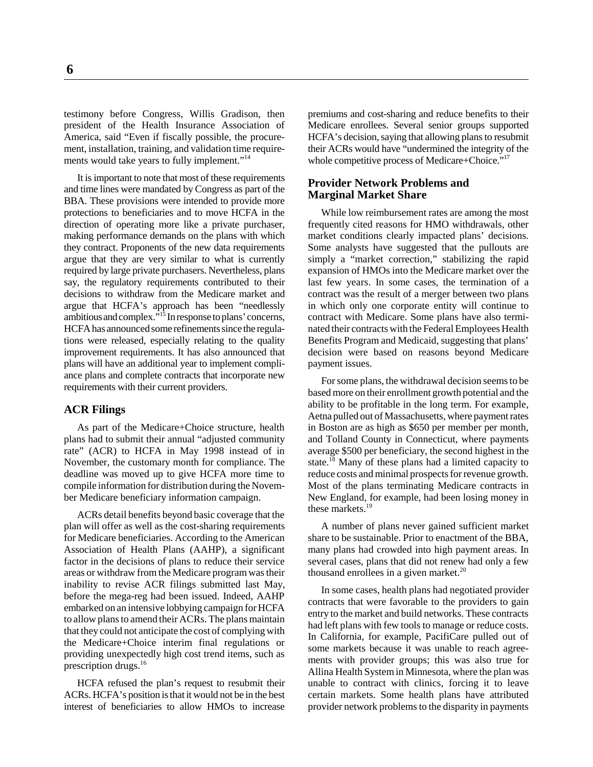testimony before Congress, Willis Gradison, then president of the Health Insurance Association of America, said "Even if fiscally possible, the procurement, installation, training, and validation time requirements would take years to fully implement."<sup>14</sup>

It is important to note that most of these requirements and time lines were mandated by Congress as part of the BBA. These provisions were intended to provide more protections to beneficiaries and to move HCFA in the direction of operating more like a private purchaser, making performance demands on the plans with which they contract. Proponents of the new data requirements argue that they are very similar to what is currently required by large private purchasers. Nevertheless, plans say, the regulatory requirements contributed to their decisions to withdraw from the Medicare market and argue that HCFA's approach has been "needlessly ambitious and complex."15 In response to plans' concerns, HCFA has announced some refinements since the regulations were released, especially relating to the quality improvement requirements. It has also announced that plans will have an additional year to implement compliance plans and complete contracts that incorporate new requirements with their current providers.

#### **ACR Filings**

As part of the Medicare+Choice structure, health plans had to submit their annual "adjusted community rate" (ACR) to HCFA in May 1998 instead of in November, the customary month for compliance. The deadline was moved up to give HCFA more time to compile information for distribution during the November Medicare beneficiary information campaign.

ACRs detail benefits beyond basic coverage that the plan will offer as well as the cost-sharing requirements for Medicare beneficiaries. According to the American Association of Health Plans (AAHP), a significant factor in the decisions of plans to reduce their service areas or withdraw from the Medicare program was their inability to revise ACR filings submitted last May, before the mega-reg had been issued. Indeed, AAHP embarked on an intensive lobbying campaign for HCFA to allow plans to amend their ACRs. The plans maintain that they could not anticipate the cost of complying with the Medicare+Choice interim final regulations or providing unexpectedly high cost trend items, such as prescription drugs.<sup>16</sup>

HCFA refused the plan's request to resubmit their ACRs. HCFA's position is that it would not be in the best interest of beneficiaries to allow HMOs to increase

premiums and cost-sharing and reduce benefits to their Medicare enrollees. Several senior groups supported HCFA's decision, saying that allowing plans to resubmit their ACRs would have "undermined the integrity of the whole competitive process of Medicare+Choice."<sup>17</sup>

#### **Provider Network Problems and Marginal Market Share**

While low reimbursement rates are among the most frequently cited reasons for HMO withdrawals, other market conditions clearly impacted plans' decisions. Some analysts have suggested that the pullouts are simply a "market correction," stabilizing the rapid expansion of HMOs into the Medicare market over the last few years. In some cases, the termination of a contract was the result of a merger between two plans in which only one corporate entity will continue to contract with Medicare. Some plans have also terminated their contracts with the Federal Employees Health Benefits Program and Medicaid, suggesting that plans' decision were based on reasons beyond Medicare payment issues.

For some plans, the withdrawal decision seems to be based more on their enrollment growth potential and the ability to be profitable in the long term. For example, Aetna pulled out of Massachusetts, where payment rates in Boston are as high as \$650 per member per month, and Tolland County in Connecticut, where payments average \$500 per beneficiary, the second highest in the state.<sup>18</sup> Many of these plans had a limited capacity to reduce costs and minimal prospects for revenue growth. Most of the plans terminating Medicare contracts in New England, for example, had been losing money in these markets.<sup>19</sup>

A number of plans never gained sufficient market share to be sustainable. Prior to enactment of the BBA, many plans had crowded into high payment areas. In several cases, plans that did not renew had only a few thousand enrollees in a given market.<sup>20</sup>

In some cases, health plans had negotiated provider contracts that were favorable to the providers to gain entry to the market and build networks. These contracts had left plans with few tools to manage or reduce costs. In California, for example, PacifiCare pulled out of some markets because it was unable to reach agreements with provider groups; this was also true for Allina Health System in Minnesota, where the plan was unable to contract with clinics, forcing it to leave certain markets. Some health plans have attributed provider network problems to the disparity in payments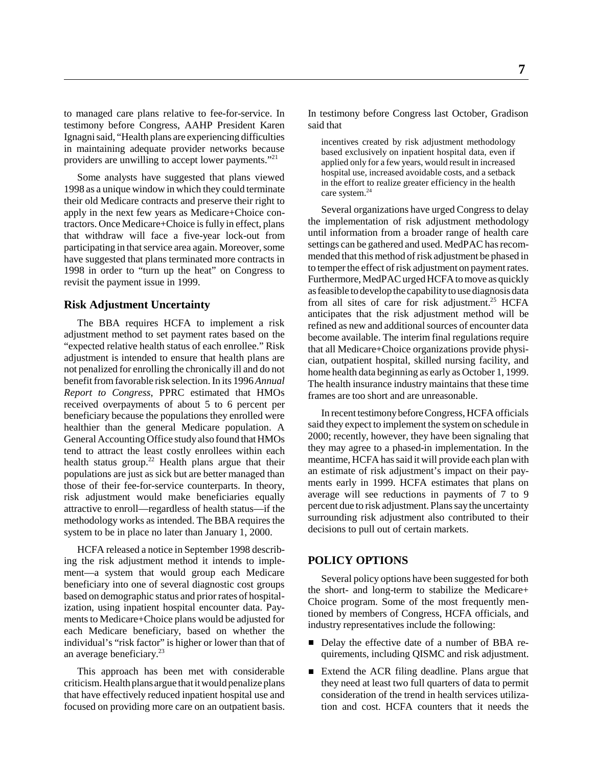to managed care plans relative to fee-for-service. In testimony before Congress, AAHP President Karen Ignagni said, "Health plans are experiencing difficulties in maintaining adequate provider networks because providers are unwilling to accept lower payments."21

Some analysts have suggested that plans viewed 1998 as a unique window in which they could terminate their old Medicare contracts and preserve their right to apply in the next few years as Medicare+Choice contractors. Once Medicare+Choice is fully in effect, plans that withdraw will face a five-year lock-out from participating in that service area again. Moreover, some have suggested that plans terminated more contracts in 1998 in order to "turn up the heat" on Congress to revisit the payment issue in 1999.

#### **Risk Adjustment Uncertainty**

The BBA requires HCFA to implement a risk adjustment method to set payment rates based on the "expected relative health status of each enrollee." Risk adjustment is intended to ensure that health plans are not penalized for enrolling the chronically ill and do not benefit from favorable risk selection. In its 1996 *Annual Report to Congress*, PPRC estimated that HMOs received overpayments of about 5 to 6 percent per beneficiary because the populations they enrolled were healthier than the general Medicare population. A General Accounting Office study also found that HMOs tend to attract the least costly enrollees within each health status group.<sup>22</sup> Health plans argue that their populations are just as sick but are better managed than those of their fee-for-service counterparts. In theory, risk adjustment would make beneficiaries equally attractive to enroll—regardless of health status—if the methodology works as intended. The BBA requires the system to be in place no later than January 1, 2000.

HCFA released a notice in September 1998 describing the risk adjustment method it intends to implement—a system that would group each Medicare beneficiary into one of several diagnostic cost groups based on demographic status and prior rates of hospitalization, using inpatient hospital encounter data. Payments to Medicare+Choice plans would be adjusted for each Medicare beneficiary, based on whether the individual's "risk factor" is higher or lower than that of an average beneficiary.<sup>23</sup>

This approach has been met with considerable criticism. Health plans argue that it would penalize plans that have effectively reduced inpatient hospital use and focused on providing more care on an outpatient basis. In testimony before Congress last October, Gradison said that

incentives created by risk adjustment methodology based exclusively on inpatient hospital data, even if applied only for a few years, would result in increased hospital use, increased avoidable costs, and a setback in the effort to realize greater efficiency in the health care system.<sup>24</sup>

Several organizations have urged Congress to delay the implementation of risk adjustment methodology until information from a broader range of health care settings can be gathered and used. MedPAC has recommended that this method of risk adjustment be phased in to temper the effect of risk adjustment on payment rates. Furthermore, MedPAC urged HCFA to move as quickly as feasible to develop the capability to use diagnosis data from all sites of care for risk adjustment.<sup>25</sup> HCFA anticipates that the risk adjustment method will be refined as new and additional sources of encounter data become available. The interim final regulations require that all Medicare+Choice organizations provide physician, outpatient hospital, skilled nursing facility, and home health data beginning as early as October 1, 1999. The health insurance industry maintains that these time frames are too short and are unreasonable.

In recent testimony before Congress, HCFA officials said they expect to implement the system on schedule in 2000; recently, however, they have been signaling that they may agree to a phased-in implementation. In the meantime, HCFA has said it will provide each plan with an estimate of risk adjustment's impact on their payments early in 1999. HCFA estimates that plans on average will see reductions in payments of 7 to 9 percent due to risk adjustment. Plans say the uncertainty surrounding risk adjustment also contributed to their decisions to pull out of certain markets.

#### **POLICY OPTIONS**

Several policy options have been suggested for both the short- and long-term to stabilize the Medicare+ Choice program. Some of the most frequently mentioned by members of Congress, HCFA officials, and industry representatives include the following:

- Delay the effective date of a number of BBA requirements, including QISMC and risk adjustment.
- Extend the ACR filing deadline. Plans argue that they need at least two full quarters of data to permit consideration of the trend in health services utilization and cost. HCFA counters that it needs the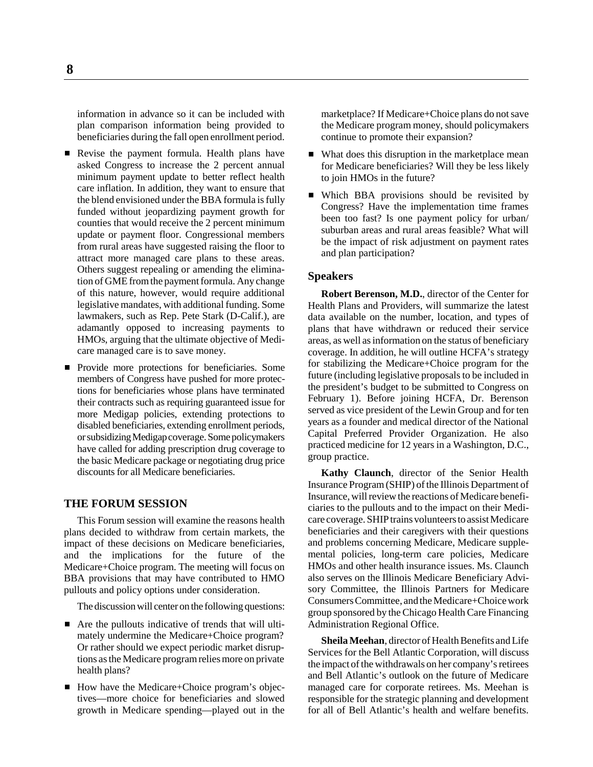information in advance so it can be included with plan comparison information being provided to beneficiaries during the fall open enrollment period.

- Revise the payment formula. Health plans have asked Congress to increase the 2 percent annual minimum payment update to better reflect health care inflation. In addition, they want to ensure that the blend envisioned under the BBA formula is fully funded without jeopardizing payment growth for counties that would receive the 2 percent minimum update or payment floor. Congressional members from rural areas have suggested raising the floor to attract more managed care plans to these areas. Others suggest repealing or amending the elimination of GME from the payment formula. Any change of this nature, however, would require additional legislative mandates, with additional funding. Some lawmakers, such as Rep. Pete Stark (D-Calif.), are adamantly opposed to increasing payments to HMOs, arguing that the ultimate objective of Medicare managed care is to save money.
- **Provide more protections for beneficiaries. Some** members of Congress have pushed for more protections for beneficiaries whose plans have terminated their contracts such as requiring guaranteed issue for more Medigap policies, extending protections to disabled beneficiaries, extending enrollment periods, or subsidizing Medigap coverage. Some policymakers have called for adding prescription drug coverage to the basic Medicare package or negotiating drug price discounts for all Medicare beneficiaries.

#### **THE FORUM SESSION**

This Forum session will examine the reasons health plans decided to withdraw from certain markets, the impact of these decisions on Medicare beneficiaries, and the implications for the future of the Medicare+Choice program. The meeting will focus on BBA provisions that may have contributed to HMO pullouts and policy options under consideration.

The discussion will center on the following questions:

- Are the pullouts indicative of trends that will ultimately undermine the Medicare+Choice program? Or rather should we expect periodic market disruptions as the Medicare program relies more on private health plans?
- How have the Medicare+Choice program's objectives—more choice for beneficiaries and slowed growth in Medicare spending—played out in the

marketplace? If Medicare+Choice plans do not save the Medicare program money, should policymakers continue to promote their expansion?

- What does this disruption in the marketplace mean for Medicare beneficiaries? Will they be less likely to join HMOs in the future?
- Which BBA provisions should be revisited by Congress? Have the implementation time frames been too fast? Is one payment policy for urban/ suburban areas and rural areas feasible? What will be the impact of risk adjustment on payment rates and plan participation?

#### **Speakers**

**Robert Berenson, M.D.**, director of the Center for Health Plans and Providers, will summarize the latest data available on the number, location, and types of plans that have withdrawn or reduced their service areas, as well as information on the status of beneficiary coverage. In addition, he will outline HCFA's strategy for stabilizing the Medicare+Choice program for the future (including legislative proposals to be included in the president's budget to be submitted to Congress on February 1). Before joining HCFA, Dr. Berenson served as vice president of the Lewin Group and for ten years as a founder and medical director of the National Capital Preferred Provider Organization. He also practiced medicine for 12 years in a Washington, D.C., group practice.

**Kathy Claunch**, director of the Senior Health Insurance Program (SHIP) of the Illinois Department of Insurance, will review the reactions of Medicare beneficiaries to the pullouts and to the impact on their Medicare coverage. SHIP trains volunteers to assist Medicare beneficiaries and their caregivers with their questions and problems concerning Medicare, Medicare supplemental policies, long-term care policies, Medicare HMOs and other health insurance issues. Ms. Claunch also serves on the Illinois Medicare Beneficiary Advisory Committee, the Illinois Partners for Medicare Consumers Committee, and the Medicare+Choice work group sponsored by the Chicago Health Care Financing Administration Regional Office.

**Sheila Meehan**, director of Health Benefits and Life Services for the Bell Atlantic Corporation, will discuss the impact of the withdrawals on her company's retirees and Bell Atlantic's outlook on the future of Medicare managed care for corporate retirees. Ms. Meehan is responsible for the strategic planning and development for all of Bell Atlantic's health and welfare benefits.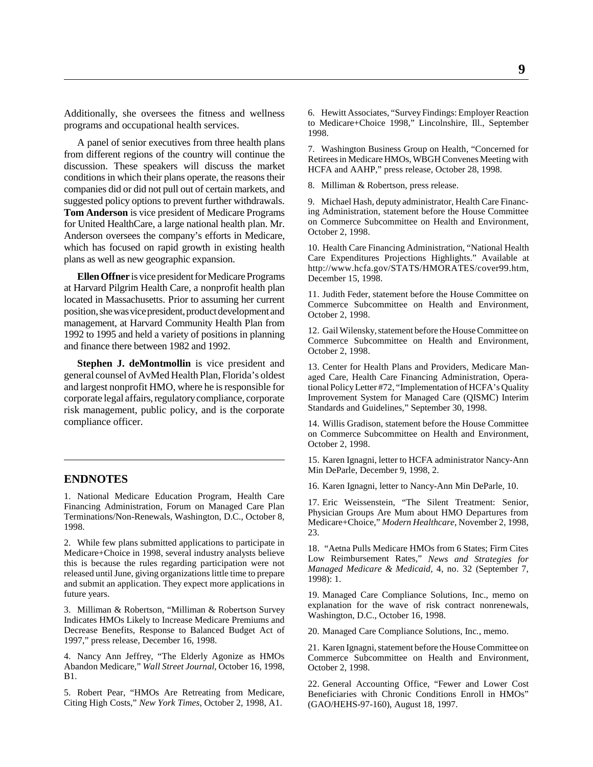Additionally, she oversees the fitness and wellness programs and occupational health services.

A panel of senior executives from three health plans from different regions of the country will continue the discussion. These speakers will discuss the market conditions in which their plans operate, the reasons their companies did or did not pull out of certain markets, and suggested policy options to prevent further withdrawals. **Tom Anderson** is vice president of Medicare Programs for United HealthCare, a large national health plan. Mr. Anderson oversees the company's efforts in Medicare, which has focused on rapid growth in existing health plans as well as new geographic expansion.

**Ellen Offner** is vice president for Medicare Programs at Harvard Pilgrim Health Care, a nonprofit health plan located in Massachusetts. Prior to assuming her current position, she was vice president, product development and management, at Harvard Community Health Plan from 1992 to 1995 and held a variety of positions in planning and finance there between 1982 and 1992.

**Stephen J. deMontmollin** is vice president and general counsel of AvMed Health Plan, Florida's oldest and largest nonprofit HMO, where he is responsible for corporate legal affairs, regulatory compliance, corporate risk management, public policy, and is the corporate compliance officer.

#### **ENDNOTES**

1. National Medicare Education Program, Health Care Financing Administration, Forum on Managed Care Plan Terminations/Non-Renewals, Washington, D.C., October 8, 1998.

2. While few plans submitted applications to participate in Medicare+Choice in 1998, several industry analysts believe this is because the rules regarding participation were not released until June, giving organizations little time to prepare and submit an application. They expect more applications in future years.

3. Milliman & Robertson, "Milliman & Robertson Survey Indicates HMOs Likely to Increase Medicare Premiums and Decrease Benefits, Response to Balanced Budget Act of 1997," press release, December 16, 1998.

4. Nancy Ann Jeffrey, "The Elderly Agonize as HMOs Abandon Medicare," *Wall Street Journal*, October 16, 1998, B1.

5. Robert Pear, "HMOs Are Retreating from Medicare, Citing High Costs," *New York Times*, October 2, 1998, A1.

6. Hewitt Associates, "Survey Findings: Employer Reaction to Medicare+Choice 1998," Lincolnshire, Ill., September 1998.

7. Washington Business Group on Health, "Concerned for Retirees in Medicare HMOs, WBGH Convenes Meeting with HCFA and AAHP," press release, October 28, 1998.

8. Milliman & Robertson, press release.

9. Michael Hash, deputy administrator, Health Care Financing Administration, statement before the House Committee on Commerce Subcommittee on Health and Environment, October 2, 1998.

10. Health Care Financing Administration, "National Health Care Expenditures Projections Highlights." Available at http://www.hcfa.gov/STATS/HMORATES/cover99.htm, December 15, 1998.

11. Judith Feder, statement before the House Committee on Commerce Subcommittee on Health and Environment, October 2, 1998.

12. Gail Wilensky, statement before the House Committee on Commerce Subcommittee on Health and Environment, October 2, 1998.

13. Center for Health Plans and Providers, Medicare Managed Care, Health Care Financing Administration, Operational Policy Letter #72, "Implementation of HCFA's Quality Improvement System for Managed Care (QISMC) Interim Standards and Guidelines," September 30, 1998.

14. Willis Gradison, statement before the House Committee on Commerce Subcommittee on Health and Environment, October 2, 1998.

15. Karen Ignagni, letter to HCFA administrator Nancy-Ann Min DeParle, December 9, 1998, 2.

16. Karen Ignagni, letter to Nancy-Ann Min DeParle, 10.

17. Eric Weissenstein, "The Silent Treatment: Senior, Physician Groups Are Mum about HMO Departures from Medicare+Choice," *Modern Healthcare*, November 2, 1998, 23.

18. "Aetna Pulls Medicare HMOs from 6 States; Firm Cites Low Reimbursement Rates," *News and Strategies for Managed Medicare & Medicaid*, 4, no. 32 (September 7, 1998): 1.

19. Managed Care Compliance Solutions, Inc., memo on explanation for the wave of risk contract nonrenewals, Washington, D.C., October 16, 1998.

20. Managed Care Compliance Solutions, Inc., memo.

21. Karen Ignagni, statement before the House Committee on Commerce Subcommittee on Health and Environment, October 2, 1998.

22. General Accounting Office, "Fewer and Lower Cost Beneficiaries with Chronic Conditions Enroll in HMOs" (GAO/HEHS-97-160), August 18, 1997.